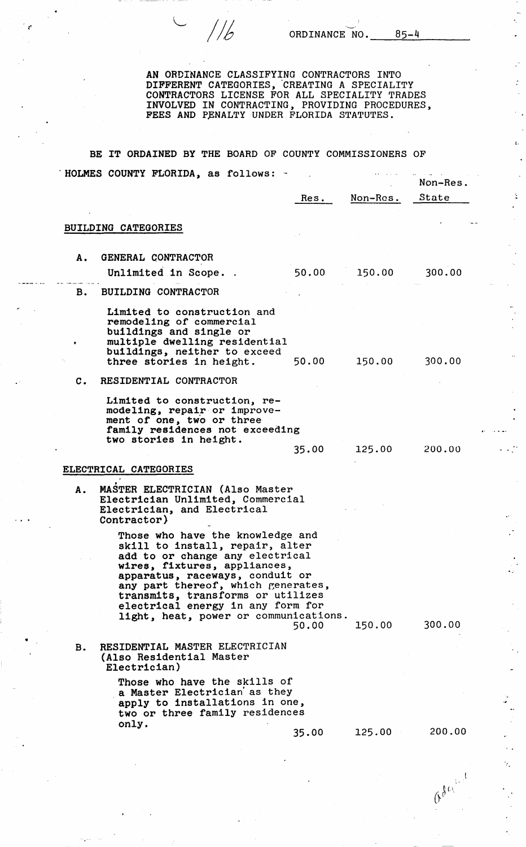$1/6$ 

÷.

 $\mathbf{z}$ .

Good

AN ORDINANCE CLASSIFYING CONTRACTORS INTO DIFFERENT CATEGORIES, CREATING A SPECIALITY CONTRACTORS LICENSE FOR ALL SPECIALITY TRADES INVOLVED IN CONTRACTING, PROVIDING PROCEDURES, FEES AND PENALTY UNDER FLORIDA STATUTES.

BE IT ORDAINED BY THE BOARD OF COUNTY COMMISSIONERS OF . HOLMES COUNTY FLORIDA, as follows:  $\bar{\mathcal{A}}$  $\bar{\mathbf{r}}$  .

|                |                                                                                                                                                                                                                                                                                                                                    | Res.  | Non-Res. | Non-Res.<br><b>State</b> |
|----------------|------------------------------------------------------------------------------------------------------------------------------------------------------------------------------------------------------------------------------------------------------------------------------------------------------------------------------------|-------|----------|--------------------------|
|                | BUILDING CATEGORIES                                                                                                                                                                                                                                                                                                                |       |          |                          |
| Α.             | GENERAL CONTRACTOR                                                                                                                                                                                                                                                                                                                 |       |          |                          |
|                | Unlimited in Scope. .                                                                                                                                                                                                                                                                                                              | 50.00 | 150.00   | 300.00                   |
| в.             | <b>BUILDING CONTRACTOR</b>                                                                                                                                                                                                                                                                                                         |       |          |                          |
|                | Limited to construction and<br>remodeling of commercial<br>buildings and single or<br>multiple dwelling residential<br>buildings, neither to exceed<br>three stories in height.                                                                                                                                                    | 50.00 | 150.00   | 300.00                   |
| $\mathbf{c}$ . | RESIDENTIAL CONTRACTOR                                                                                                                                                                                                                                                                                                             |       |          |                          |
|                | Limited to construction, re-<br>modeling, repair or improve-<br>ment of one, two or three<br>family residences not exceeding<br>two stories in height.                                                                                                                                                                             | 35.00 | 125.00   | 200.00                   |
|                | ELECTRICAL CATEGORIES                                                                                                                                                                                                                                                                                                              |       |          |                          |
| Α.             | MASTER ELECTRICIAN (Also Master<br>Electrician Unlimited, Commercial<br>Electrician, and Electrical<br>Contractor)                                                                                                                                                                                                                 |       |          |                          |
|                | Those who have the knowledge and<br>skill to install, repair, alter<br>add to or change any electrical<br>wires, fixtures, appliances,<br>apparatus, raceways, conduit or<br>any part thereof, which generates,<br>transmits, transforms or utilizes<br>electrical energy in any form for<br>light, heat, power or communications. | 50.00 | 150.00   | 300.00                   |
| B.             | RESIDENTIAL MASTER ELECTRICIAN<br>(Also Residential Master<br>Electrician)                                                                                                                                                                                                                                                         |       |          |                          |
|                | Those who have the skills of<br>a Master Electrician as they<br>apply to installations in one,<br>two or three family residences<br>only.                                                                                                                                                                                          |       |          |                          |
|                |                                                                                                                                                                                                                                                                                                                                    | 35.00 | 125.00   | 200.00                   |

•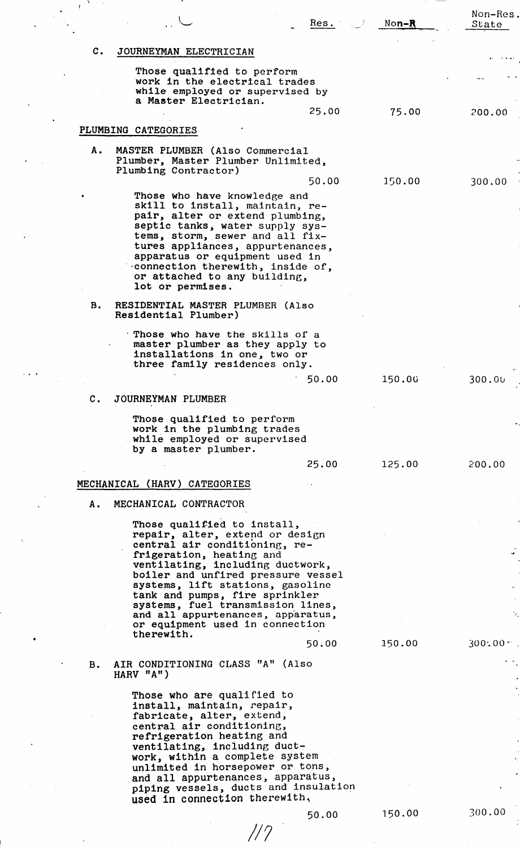|                |                                                                                                                                                                                                                                                                                                                                        | Res.  | $Non-R$ | Non-Res.<br>State |
|----------------|----------------------------------------------------------------------------------------------------------------------------------------------------------------------------------------------------------------------------------------------------------------------------------------------------------------------------------------|-------|---------|-------------------|
| $\mathbf{c}$ . | JOURNEYMAN ELECTRICIAN                                                                                                                                                                                                                                                                                                                 |       |         |                   |
|                | Those qualified to perform<br>work in the electrical trades<br>while employed or supervised by                                                                                                                                                                                                                                         |       |         |                   |
|                | a Master Electrician.                                                                                                                                                                                                                                                                                                                  | 25.00 | 75.00   | 200.00            |
|                | PLUMBING CATEGORIES                                                                                                                                                                                                                                                                                                                    |       |         |                   |
| Α.             | MASTER PLUMBER (Also Commercial<br>Plumber, Master Plumber Unlimited,<br>Plumbing Contractor)                                                                                                                                                                                                                                          |       |         |                   |
|                |                                                                                                                                                                                                                                                                                                                                        | 50.00 | 150.00  | 300.00            |
|                | Those who have knowledge and<br>skill to install, maintain, re-<br>pair, alter or extend plumbing,<br>septic tanks, water supply sys-<br>tems, storm, sewer and all fix-<br>tures appliances, appurtenances,<br>apparatus or equipment used in<br>connection therewith, inside of,<br>or attached to any building,<br>lot or permises. |       |         |                   |
| в.             | RESIDENTIAL MASTER PLUMBER (Also<br>Residential Plumber)                                                                                                                                                                                                                                                                               |       |         |                   |
|                | Those who have the skills of a<br>master plumber as they apply to<br>installations in one, two or<br>three family residences only.                                                                                                                                                                                                     |       |         |                   |
|                |                                                                                                                                                                                                                                                                                                                                        | 50.00 | 150.00  | 300.00            |
| $\mathbf{c}$ . | JOURNEYMAN PLUMBER                                                                                                                                                                                                                                                                                                                     |       |         |                   |
|                | Those qualified to perform<br>work in the plumbing trades<br>while employed or supervised<br>by a master plumber.                                                                                                                                                                                                                      |       |         |                   |
|                |                                                                                                                                                                                                                                                                                                                                        | 25.00 | 125.00  | 200.00            |
|                | MECHANICAL (HARV) CATEGORIES                                                                                                                                                                                                                                                                                                           |       |         |                   |
| Α.             | MECHANICAL CONTRACTOR                                                                                                                                                                                                                                                                                                                  |       |         |                   |
|                | Those qualified to install,<br>repair, alter, extend or design<br>central air conditioning, re-<br>frigeration, heating and                                                                                                                                                                                                            |       |         |                   |
|                | ventilating, including ductwork,<br>boiler and unfired pressure vessel<br>systems, lift stations, gasoline<br>tank and pumps, fire sprinkler<br>systems, fuel transmission lines,                                                                                                                                                      |       |         |                   |
|                | and all appurtenances, apparatus,<br>or equipment used in connection<br>therewith.                                                                                                                                                                                                                                                     |       |         |                   |
| <b>B.</b>      | AIR CONDITIONING CLASS "A" (Also<br>HARV "A")                                                                                                                                                                                                                                                                                          | 50.00 | 150.00  | $300:00 -$        |
|                | Those who are qualified to.                                                                                                                                                                                                                                                                                                            |       |         |                   |
|                | install, maintain, repair,<br>fabricate, alter, extend,<br>central air conditioning,<br>refrigeration heating and<br>ventilating, including duct-<br>work, within a complete system                                                                                                                                                    |       |         |                   |
|                | unlimited in horsepower or tons,<br>and all appurtenances, apparatus,<br>piping vessels, ducts and insulation                                                                                                                                                                                                                          |       |         |                   |

 $\sim 10^{-11}$ 

50.00

used in connection therewith.

*/!?* 

150.00

300.00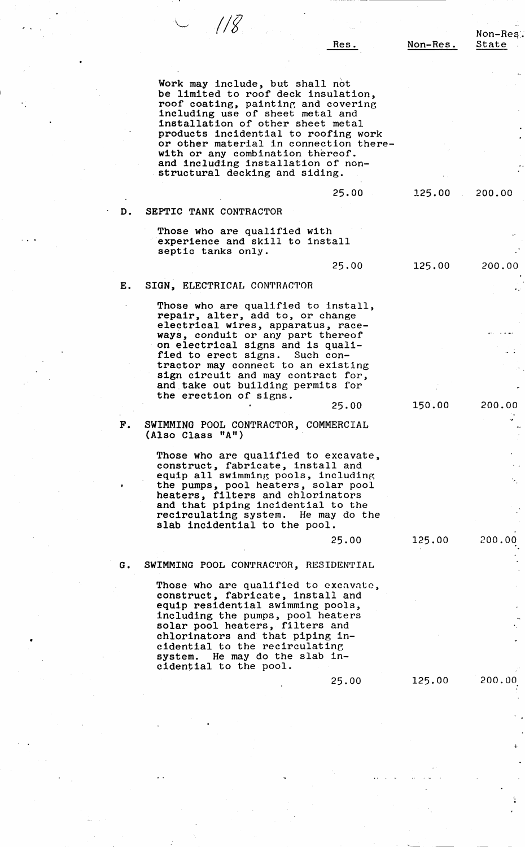|    |                                                                           |          | Non-Res. |
|----|---------------------------------------------------------------------------|----------|----------|
|    | Res.                                                                      | Non-Res. | State    |
|    |                                                                           |          |          |
|    |                                                                           |          |          |
|    | Work may include, but shall not<br>be limited to roof deck insulation,    |          |          |
|    | roof coating, painting and covering                                       |          |          |
|    | including use of sheet metal and                                          |          |          |
|    | installation of other sheet metal<br>products incidential to roofing work |          |          |
|    | or other material in connection there-                                    |          |          |
|    | with or any combination thereof.                                          |          |          |
|    | and including installation of non-<br>structural decking and siding.      |          |          |
|    |                                                                           |          |          |
|    | 25.00                                                                     | 125.00   | 200.00   |
| D. | SEPTIC TANK CONTRACTOR                                                    |          |          |
|    | Those who are qualified with                                              |          |          |
|    | experience and skill to install                                           |          |          |
|    | septic tanks only.                                                        |          |          |
|    | 25.00                                                                     | 125.00   | 200,00   |
| Ε. | SIGN, ELECTRICAL CONTRACTOR                                               |          |          |
|    | Those who are qualified to install,                                       |          |          |
|    | repair, alter, add to, or change                                          |          |          |
|    | electrical wires, apparatus, race-<br>ways, conduit or any part thereof   |          |          |
|    | on electrical signs and is quali-                                         |          |          |
|    | fied to erect signs. Such con-                                            |          |          |
|    | tractor may connect to an existing<br>sign circuit and may contract for,  |          |          |
|    | and take out building permits for                                         |          |          |
|    | the erection of signs.                                                    | 150.00   | 200.00   |
|    | 25.00                                                                     |          |          |
| F. | SWIMMING POOL CONTRACTOR, COMMERCIAL                                      |          |          |
|    | (Also Class "A")                                                          |          |          |
|    | Those who are qualified to excavate,                                      |          |          |
|    | construct, fabricate, install and<br>equip all swimming pools, including  |          |          |
|    | the pumps, pool heaters, solar pool                                       |          | У.,      |
|    | heaters, filters and chlorinators                                         |          |          |
|    | and that piping incidential to the<br>recirculating system. He may do the |          |          |
|    | slab incidential to the pool.                                             |          |          |
|    | 25.00                                                                     | 125.00   | 200.00   |
|    |                                                                           |          |          |
| G. | SWIMMING POOL CONTRACTOR, RESIDENTIAL                                     |          |          |
|    | Those who are qualified to excavate,                                      |          |          |
|    | construct, fabricate, install and<br>equip residential swimming pools,    |          |          |
|    | including the pumps, pool heaters                                         |          |          |
|    | solar pool heaters, filters and<br>chlorinators and that piping in-       |          |          |
|    | cidential to the recirculating                                            |          |          |
|    | system. He may do the slab in-                                            |          |          |
|    | cidential to the pool.                                                    |          |          |
|    | 25.00                                                                     | 125.00   | 200.00   |
|    |                                                                           |          |          |
|    |                                                                           |          |          |

 $\begin{bmatrix} \Delta_1 \\ \Delta_2 \\ \Delta_3 \end{bmatrix}$ 

•

 $\frac{1}{2} \frac{1}{2} \frac{1}{2} \frac{1}{2} \frac{1}{2} \frac{1}{2} \frac{1}{2} \frac{1}{2} \frac{1}{2} \frac{1}{2} \frac{1}{2} \frac{1}{2} \frac{1}{2} \frac{1}{2} \frac{1}{2} \frac{1}{2} \frac{1}{2} \frac{1}{2} \frac{1}{2} \frac{1}{2} \frac{1}{2} \frac{1}{2} \frac{1}{2} \frac{1}{2} \frac{1}{2} \frac{1}{2} \frac{1}{2} \frac{1}{2} \frac{1}{2} \frac{1}{2} \frac{1}{2} \frac{$ 

 $\frac{1}{\sqrt{2}}\sum_{i=1}^{n} \frac{1}{\sqrt{2}}\left(\frac{1}{\sqrt{2}}\right)^2$ 

 $\frac{1}{2}$ 

 $\hat{\mathcal{L}}$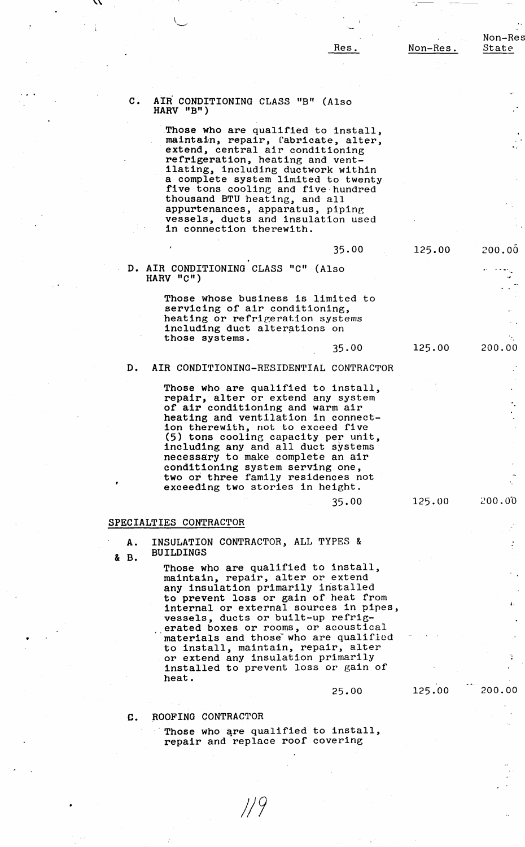35.00

35.00

## Non-Res State

200.00

200.00

# C. AIR CONDITIONING CLASS "B" (Also **HARV** "B")

Those who are qualified to install, maintain, repair, fabricate, alter,<br>extend, central air conditioning refrigeration, heating and ventilating, including ductwork within a complete system limited to twenty **five** tons cooling and five hundred thousand BTU heating, and all appurtenances, apparatus, pipine **vessels,** ducts and insulation used in connection therewith.

## 125.00

## **D. AIR CONDITIONING** CLASS "C" (Also **HARV "C")**

Those whose business is limited to servicing of air conditioning, heating or refrigeration systems including duct alterations on **those systems.** 

# 125.00

125.00

# D. AIR CONDITIONING-RESIDENTIAL CONTRACTOR

Those who are qualified to install, repair, alter or extend any system of air conditioning and warm air heating and ventilation in connection therewith, not to exceed five (5) tons cooling capacity per unit, including any and all duct systems necessary to make complete an air conditioning system serving one, two or three family residences not exceeding two stories in height.

## 35.00

# ~00.0-0

200.00

## **SPECIALTIES** CONTRACTOR

•

**A.**  & **B.**  INSULATION CONTRACTOR, ALL TYPES & **BUILDINGS** 

> Those who are qualified to install, maintain, repair, alter or extend any insulation primarily installed to prevent loss or gain of heat from internal or external sources in pipes, **vessels,** ducts or built-up refrigerated boxes or rooms, or acoustical materials and those who are qualified to install, maintain, repair, alter or extend any insulation primarily installed to prevent loss or gain of heat.

## 25.00

# 125.00

## **C. ~OOFING** CONTRACTOR

Those who are qualified to install, repair and replace roof covering

J/9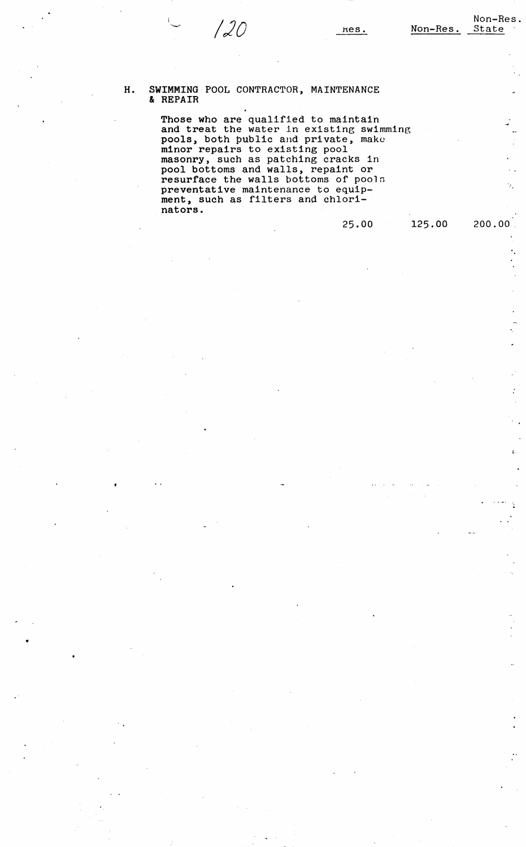# H. **SWIMMING** POOL CONTRACTOR, MAINTENANCE & REPAIR

Those who are qualified to maintain and treat the water in existing swimming pools, both public and private, make minor repairs to existing pool masonry, such as patching cracks in pool bottoms and walls, repaint or resurface the walls bottoms of pools preventative maintenance to equippreventative maintenance to equip<br>ment, such as filters and chlorinators.

# 25.00

125.00 200.00

 $\hat{\mathcal{L}}_1$ 

 $\overline{a}$ ۰.  $\frac{1}{2}$ 

 $\mathbf{L}$ Ċ.

 $\ddot{\cdot}$ 

 $\zeta$